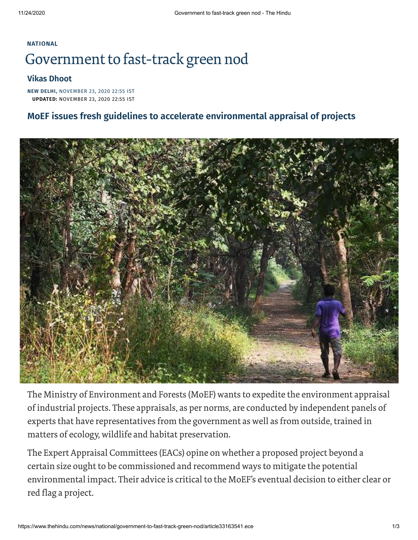## **[NATIONAL](https://www.thehindu.com/news/national/)** Government to fast-track green nod

## **Vikas [Dhoot](https://www.thehindu.com/profile/author/Vikas-Dhoot-581/)**

**NEW DELHI,** NOVEMBER 23, 2020 22:55 IST **UPDATED:** NOVEMBER 23, 2020 22:55 IST

## **MoEF issues fresh guidelines to accelerate environmental appraisal of projects**



The Ministry of Environment and Forests (MoEF) wants to expedite the environment appraisal of industrial projects. These appraisals, as per norms, are conducted by independent panels of experts that have representatives from the government as well as from outside, trained in matters of ecology, wildlife and habitat preservation.

The Expert Appraisal Committees (EACs) opine on whether a proposed project beyond a certain size ought to be commissioned and recommend ways to mitigate the potential environmental impact. Their advice is critical to the MoEF's eventual decision to either clear or red flag a project.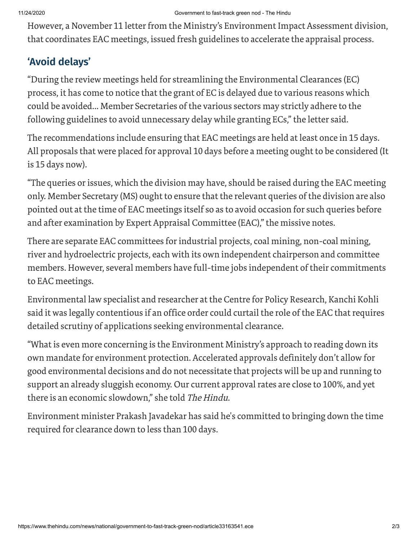However, a November 11 letter from the Ministry's Environment Impact Assessment division, that coordinates EAC meetings, issued fresh guidelines to accelerate the appraisal process.

## **'Avoid delays'**

"During the review meetings held for streamlining the Environmental Clearances (EC) process, it has come to notice that the grant of EC is delayed due to various reasons which could be avoided... Member Secretaries of the various sectors may strictly adhere to the following guidelines to avoid unnecessary delay while granting ECs,"the letter said.

The recommendations include ensuring that EAC meetings are held at least once in 15 days. All proposals that were placed for approval 10 days before a meeting ought to be considered (It is 15 days now).

"The queries or issues, which the division may have, should be raised during the EAC meeting only. Member Secretary (MS) ought to ensure that the relevant queries of the division are also pointed out at the time of EAC meetings itself so as to avoid occasion for such queries before and after examination by Expert Appraisal Committee (EAC)," the missive notes.

There are separate EAC committees for industrial projects, coal mining, non-coal mining, river and hydroelectric projects, each with its own independent chairperson and committee members. However, several members have full-time jobs independent of their commitments to EAC meetings.

Environmental law specialist and researcher at the Centre for Policy Research, Kanchi Kohli said it was legally contentious if an office order could curtail the role of the EAC that requires detailed scrutiny of applications seeking environmental clearance.

"What is even more concerning is the Environment Ministry's approach to reading down its own mandate for environment protection. Accelerated approvals definitely don't allow for good environmental decisions and do not necessitate that projects will be up and running to support an already sluggish economy. Our current approval rates are close to 100%, and yet there is an economic slowdown," she told The Hindu.

Environment minister Prakash Javadekar has said he's committed to bringing down the time required for clearance down to less than 100 days.